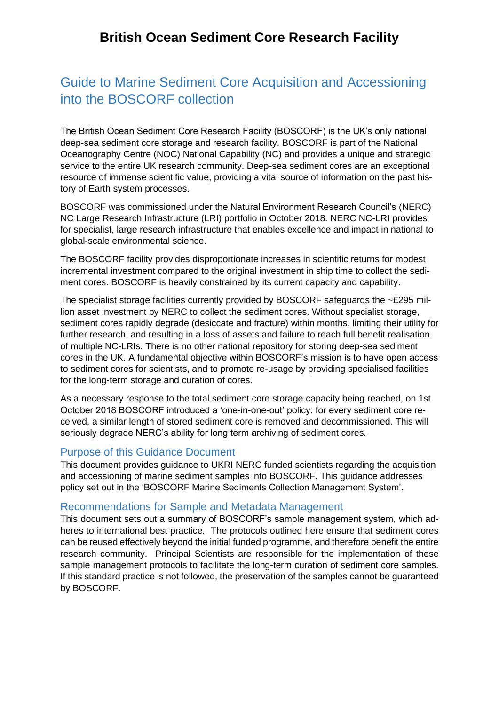# Guide to Marine Sediment Core Acquisition and Accessioning into the BOSCORF collection

The British Ocean Sediment Core Research Facility (BOSCORF) is the UK's only national deep-sea sediment core storage and research facility. BOSCORF is part of the National Oceanography Centre (NOC) National Capability (NC) and provides a unique and strategic service to the entire UK research community. Deep-sea sediment cores are an exceptional resource of immense scientific value, providing a vital source of information on the past history of Earth system processes.

BOSCORF was commissioned under the Natural Environment Research Council's (NERC) NC Large Research Infrastructure (LRI) portfolio in October 2018. NERC NC-LRI provides for specialist, large research infrastructure that enables excellence and impact in national to global-scale environmental science.

The BOSCORF facility provides disproportionate increases in scientific returns for modest incremental investment compared to the original investment in ship time to collect the sediment cores. BOSCORF is heavily constrained by its current capacity and capability.

The specialist storage facilities currently provided by BOSCORF safeguards the ~£295 million asset investment by NERC to collect the sediment cores. Without specialist storage, sediment cores rapidly degrade (desiccate and fracture) within months, limiting their utility for further research, and resulting in a loss of assets and failure to reach full benefit realisation of multiple NC-LRIs. There is no other national repository for storing deep-sea sediment cores in the UK. A fundamental objective within BOSCORF's mission is to have open access to sediment cores for scientists, and to promote re-usage by providing specialised facilities for the long-term storage and curation of cores.

As a necessary response to the total sediment core storage capacity being reached, on 1st October 2018 BOSCORF introduced a 'one-in-one-out' policy: for every sediment core received, a similar length of stored sediment core is removed and decommissioned. This will seriously degrade NERC's ability for long term archiving of sediment cores.

### Purpose of this Guidance Document

This document provides guidance to UKRI NERC funded scientists regarding the acquisition and accessioning of marine sediment samples into BOSCORF. This guidance addresses policy set out in the 'BOSCORF Marine Sediments Collection Management System'.

#### Recommendations for Sample and Metadata Management

This document sets out a summary of BOSCORF's sample management system, which adheres to international best practice. The protocols outlined here ensure that sediment cores can be reused effectively beyond the initial funded programme, and therefore benefit the entire research community. Principal Scientists are responsible for the implementation of these sample management protocols to facilitate the long-term curation of sediment core samples. If this standard practice is not followed, the preservation of the samples cannot be guaranteed by BOSCORF.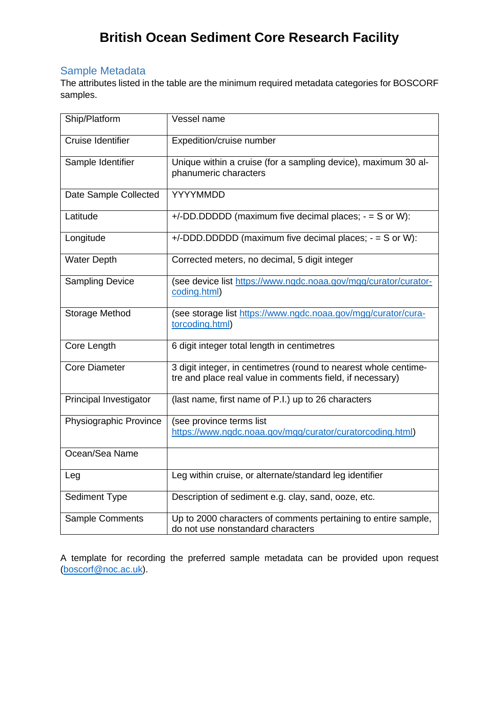## Sample Metadata

The attributes listed in the table are the minimum required metadata categories for BOSCORF samples.

| Ship/Platform          | Vessel name                                                                                                                   |
|------------------------|-------------------------------------------------------------------------------------------------------------------------------|
| Cruise Identifier      | Expedition/cruise number                                                                                                      |
| Sample Identifier      | Unique within a cruise (for a sampling device), maximum 30 al-<br>phanumeric characters                                       |
| Date Sample Collected  | YYYYMMDD                                                                                                                      |
| Latitude               | $+/-DD.DDDDD$ (maximum five decimal places; $-$ = S or W):                                                                    |
| Longitude              | $+/-DDD.DDDDD$ (maximum five decimal places; $-$ = S or W):                                                                   |
| <b>Water Depth</b>     | Corrected meters, no decimal, 5 digit integer                                                                                 |
| <b>Sampling Device</b> | (see device list https://www.ngdc.noaa.gov/mgg/curator/curator-<br>coding.html)                                               |
| Storage Method         | (see storage list https://www.ngdc.noaa.gov/mgg/curator/cura-<br>torcoding.html)                                              |
| Core Length            | 6 digit integer total length in centimetres                                                                                   |
| <b>Core Diameter</b>   | 3 digit integer, in centimetres (round to nearest whole centime-<br>tre and place real value in comments field, if necessary) |
| Principal Investigator | (last name, first name of P.I.) up to 26 characters                                                                           |
| Physiographic Province | (see province terms list<br>https://www.ngdc.noaa.gov/mgg/curator/curatorcoding.html)                                         |
| Ocean/Sea Name         |                                                                                                                               |
| Leg                    | Leg within cruise, or alternate/standard leg identifier                                                                       |
| <b>Sediment Type</b>   | Description of sediment e.g. clay, sand, ooze, etc.                                                                           |
| Sample Comments        | Up to 2000 characters of comments pertaining to entire sample,<br>do not use nonstandard characters                           |

A template for recording the preferred sample metadata can be provided upon request [\(boscorf@noc.ac.uk\)](mailto:boscorf@noc.ac.uk).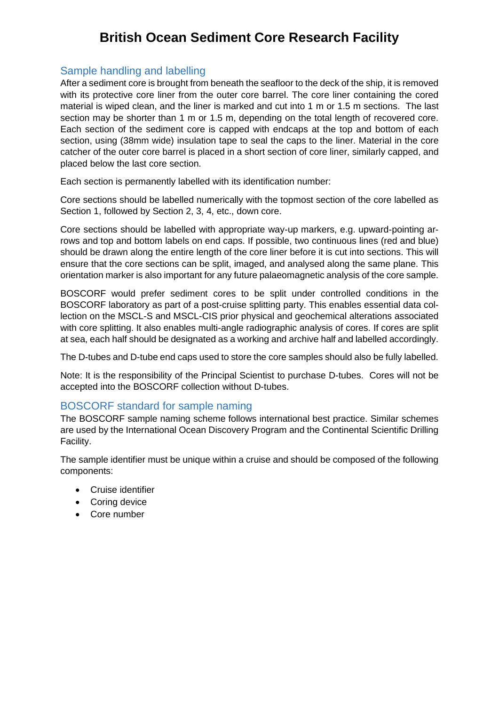### Sample handling and labelling

After a sediment core is brought from beneath the seafloor to the deck of the ship, it is removed with its protective core liner from the outer core barrel. The core liner containing the cored material is wiped clean, and the liner is marked and cut into 1 m or 1.5 m sections. The last section may be shorter than 1 m or 1.5 m, depending on the total length of recovered core. Each section of the sediment core is capped with endcaps at the top and bottom of each section, using (38mm wide) insulation tape to seal the caps to the liner. Material in the core catcher of the outer core barrel is placed in a short section of core liner, similarly capped, and placed below the last core section.

Each section is permanently labelled with its identification number:

Core sections should be labelled numerically with the topmost section of the core labelled as Section 1, followed by Section 2, 3, 4, etc., down core.

Core sections should be labelled with appropriate way-up markers, e.g. upward-pointing arrows and top and bottom labels on end caps. If possible, two continuous lines (red and blue) should be drawn along the entire length of the core liner before it is cut into sections. This will ensure that the core sections can be split, imaged, and analysed along the same plane. This orientation marker is also important for any future palaeomagnetic analysis of the core sample.

BOSCORF would prefer sediment cores to be split under controlled conditions in the BOSCORF laboratory as part of a post-cruise splitting party. This enables essential data collection on the MSCL-S and MSCL-CIS prior physical and geochemical alterations associated with core splitting. It also enables multi-angle radiographic analysis of cores. If cores are split at sea, each half should be designated as a working and archive half and labelled accordingly.

The D-tubes and D-tube end caps used to store the core samples should also be fully labelled.

Note: It is the responsibility of the Principal Scientist to purchase D-tubes. Cores will not be accepted into the BOSCORF collection without D-tubes.

### BOSCORF standard for sample naming

The BOSCORF sample naming scheme follows international best practice. Similar schemes are used by the International Ocean Discovery Program and the Continental Scientific Drilling Facility.

The sample identifier must be unique within a cruise and should be composed of the following components:

- Cruise identifier
- Coring device
- Core number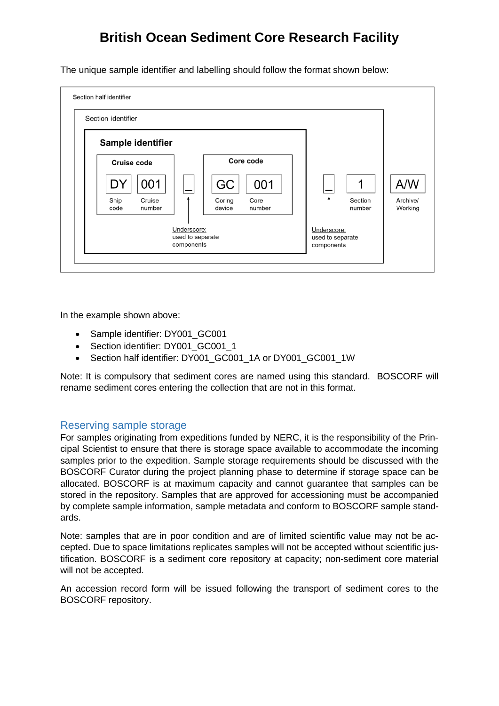The unique sample identifier and labelling should follow the format shown below:



In the example shown above:

- Sample identifier: DY001 GC001
- Section identifier: DY001\_GC001\_1
- Section half identifier: DY001\_GC001\_1A or DY001\_GC001\_1W

Note: It is compulsory that sediment cores are named using this standard. BOSCORF will rename sediment cores entering the collection that are not in this format.

### Reserving sample storage

For samples originating from expeditions funded by NERC, it is the responsibility of the Principal Scientist to ensure that there is storage space available to accommodate the incoming samples prior to the expedition. Sample storage requirements should be discussed with the BOSCORF Curator during the project planning phase to determine if storage space can be allocated. BOSCORF is at maximum capacity and cannot guarantee that samples can be stored in the repository. Samples that are approved for accessioning must be accompanied by complete sample information, sample metadata and conform to BOSCORF sample standards.

Note: samples that are in poor condition and are of limited scientific value may not be accepted. Due to space limitations replicates samples will not be accepted without scientific justification. BOSCORF is a sediment core repository at capacity; non-sediment core material will not be accepted.

An accession record form will be issued following the transport of sediment cores to the BOSCORF repository.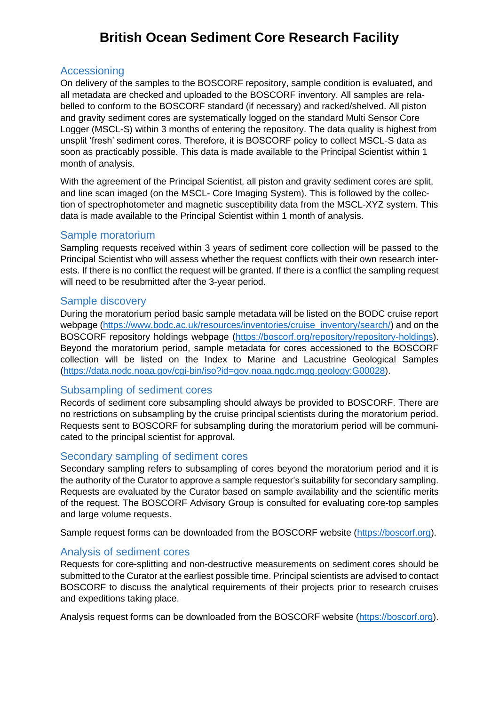### Accessioning

On delivery of the samples to the BOSCORF repository, sample condition is evaluated, and all metadata are checked and uploaded to the BOSCORF inventory. All samples are relabelled to conform to the BOSCORF standard (if necessary) and racked/shelved. All piston and gravity sediment cores are systematically logged on the standard Multi Sensor Core Logger (MSCL-S) within 3 months of entering the repository. The data quality is highest from unsplit 'fresh' sediment cores. Therefore, it is BOSCORF policy to collect MSCL-S data as soon as practicably possible. This data is made available to the Principal Scientist within 1 month of analysis.

With the agreement of the Principal Scientist, all piston and gravity sediment cores are split, and line scan imaged (on the MSCL- Core Imaging System). This is followed by the collection of spectrophotometer and magnetic susceptibility data from the MSCL-XYZ system. This data is made available to the Principal Scientist within 1 month of analysis.

#### Sample moratorium

Sampling requests received within 3 years of sediment core collection will be passed to the Principal Scientist who will assess whether the request conflicts with their own research interests. If there is no conflict the request will be granted. If there is a conflict the sampling request will need to be resubmitted after the 3-year period.

#### Sample discovery

During the moratorium period basic sample metadata will be listed on the BODC cruise report webpage [\(https://www.bodc.ac.uk/resources/inventories/cruise\\_inventory/search/\)](https://www.bodc.ac.uk/resources/inventories/cruise_inventory/search/) and on the BOSCORF repository holdings webpage [\(https://boscorf.org/repository/repository-holdings\)](https://boscorf.org/repository/repository-holdings). Beyond the moratorium period, sample metadata for cores accessioned to the BOSCORF collection will be listed on the Index to Marine and Lacustrine Geological Samples [\(https://data.nodc.noaa.gov/cgi-bin/iso?id=gov.noaa.ngdc.mgg.geology:G00028\)](https://data.nodc.noaa.gov/cgi-bin/iso?id=gov.noaa.ngdc.mgg.geology:G00028).

#### Subsampling of sediment cores

Records of sediment core subsampling should always be provided to BOSCORF. There are no restrictions on subsampling by the cruise principal scientists during the moratorium period. Requests sent to BOSCORF for subsampling during the moratorium period will be communicated to the principal scientist for approval.

#### Secondary sampling of sediment cores

Secondary sampling refers to subsampling of cores beyond the moratorium period and it is the authority of the Curator to approve a sample requestor's suitability for secondary sampling. Requests are evaluated by the Curator based on sample availability and the scientific merits of the request. The BOSCORF Advisory Group is consulted for evaluating core-top samples and large volume requests.

Sample request forms can be downloaded from the BOSCORF website [\(https://boscorf.org\)](https://boscorf.org/).

### Analysis of sediment cores

Requests for core-splitting and non-destructive measurements on sediment cores should be submitted to the Curator at the earliest possible time. Principal scientists are advised to contact BOSCORF to discuss the analytical requirements of their projects prior to research cruises and expeditions taking place.

Analysis request forms can be downloaded from the BOSCORF website [\(https://boscorf.org\)](https://boscorf.org/).